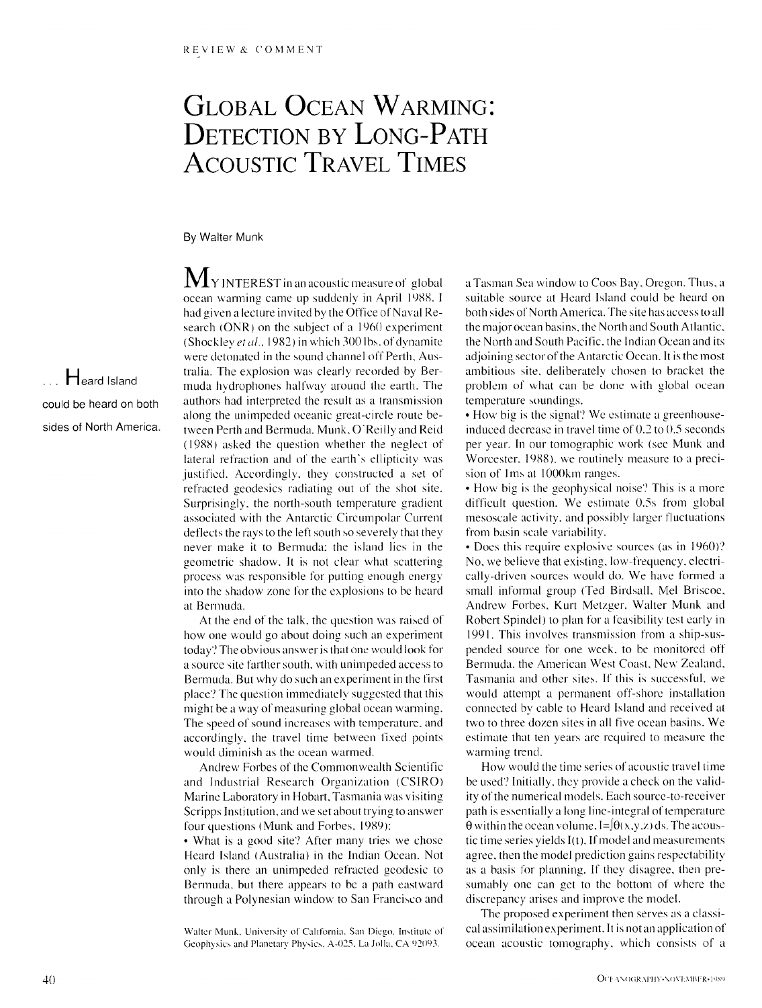## **GLOBAL OCEAN WARMING: DETECTION BY LONG-PATH ACOUSTIC TRAVEL TIMES**

**By Walter Munk** 

**... Heard Island could be heard on both sides of North America,**   $M_Y$  INTEREST in an acoustic measure of global ocean warming came up suddenly in April 1988. I had given a lecture invited by the Office of Naval Research (ONR) on the subject of a 1960 experiment (Shockley et al., 1982) in which 300 lbs. of dynamite were detonated in the sound channel off Perth, Australia. The explosion was clearly recorded by Bermuda hydrophones halfway' around the earth. The authors had interpreted the result as a transmission along the unimpeded oceanic great-circle route between Perth and Bermuda. Munk, O'Reilly and Reid (1988) asked the question whether the neglect of lateral refraction and of the earth's ellipticity was justified. Accordingly, they constructed a set of reftacted geodesics radiating out of the shot site. Surprisingly, the north-south temperature gradient associated with the Antarctic Circumpolar Current deflects the rays to the left south so severely that they' never make it to Bermuda; the island lies in the geometric shadow. It is not clear what scattering process was responsible for putting enough energy into the shadow zone for the explosions to be heard at Bermuda.

At the end of the talk, the question was raised of how one would go about doing such an experiment today"? The obvious answer is that one would look for a source site farther south, with unimpeded access to Bermuda. But why do such an experiment in the first place'? The question immediately suggested that this might be a way of measuring global ocean warming. The speed of sound increases with temperature, and accordingly, the travel time between fixed points would diminish as the ocean warmed.

Andrew Forbes of the Commonwealth Scientific and Industrial Research Organization (CSIRO) Marine Laboratory in Hobart, Tasmania was visiting Scripps Institution, and we set about trying to answer four questions (Munk and Forbes, 1989):

• What is a good site? After many tries we chose Heard Island (Australia) in the Indian Ocean. Not only is there an unimpeded refracted geodesic to Bermuda, but there appears to be a path eastward through a Polynesian window to San Francisco and

Walter Munk, University of California. San Diego. Institute of Geophysics and Planetary Physics, A-025, La Jolla, CA 92093.

a Tasman Sex window to Coos Bay, Oregon. Thus, a suitable source at Heard Island could be heard on both sides of North America. The site has access to all the major ocean basins, the North and South Atlantic, the North and South Pacific. the Indian Ocean and its adjoining sector of the Antarctic Ocean. It is the most ambitious site, deliberately chosen to bracket the problem of what can be done with global ocean temperature soundings.

• How big is the signal? We estimate a greenhouseinduced decrease in travel time of 0.2 to 0.5 seconds per year. In our tomographic work (see Munk and Worcester, 1988), we routinely measure to a precision of 1ms at 1000km ranges.

• How big is the geophysical noise? This is a more difficult question. We estimate 0.5s from global mesoscale activity, and possibly larger fluctuations from basin scale variability.

• Does this require explosive sources (as in 1960)? No, we believe that existing, low-frequency, electrically-driven sources would do. We have formed a small informal group (Ted Birdsall, Mel Briscoe, Andrew Forbes, Kurt Metzger, Waller Munk and Robert Spindel) to phm for a feasibility test early in 1991. This involves transmission from a ship-suspended source for one week, to be monitored off Bermuda, the American West Coast, New Zealand, Tasmania and other sites. If this is successful, we would attempt a permanent off-shore installation connected by cable to Heard Island and received at two to three dozen sites in all five ocean basins. We estimate that ten years are required to measure the warming trend.

How would the time series of acoustic travel time be used? Initially, they provide a check on the validity of the numerical models. Each source-to-receiver path is essentially a long line-integral of temperature  $\theta$  within the ocean volume, I=J $\theta(x,y,z)$  ds. The acoustic time series yields l(t). If model and measurements agree, then the model prediction gains respectability as a basis for planning. If they disagree, then presumably one can get to the bottom of where the discrepancy arises and improve the model.

The proposed experiment then serves as a classical assimilation experiment. It is notan application of ocean acoustic tomography, which consists of a